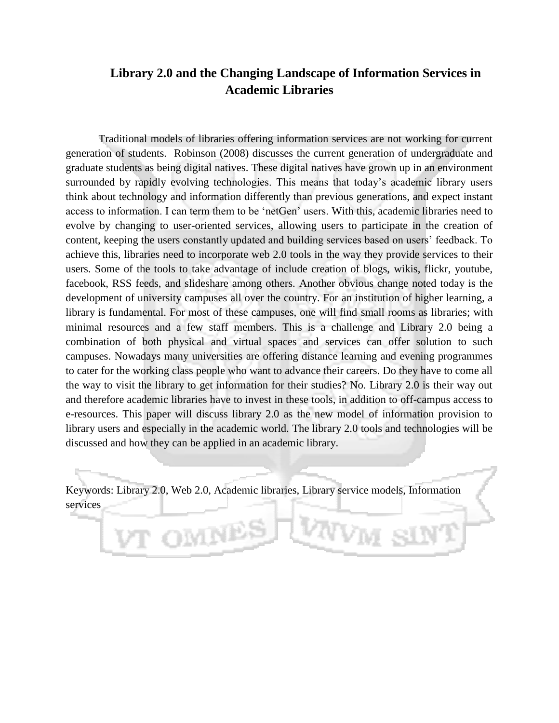# **Library 2.0 and the Changing Landscape of Information Services in Academic Libraries**

Traditional models of libraries offering information services are not working for current generation of students. Robinson (2008) discusses the current generation of undergraduate and graduate students as being digital natives. These digital natives have grown up in an environment surrounded by rapidly evolving technologies. This means that today's academic library users think about technology and information differently than previous generations, and expect instant access to information. I can term them to be 'netGen' users. With this, academic libraries need to evolve by changing to user-oriented services, allowing users to participate in the creation of content, keeping the users constantly updated and building services based on users" feedback. To achieve this, libraries need to incorporate web 2.0 tools in the way they provide services to their users. Some of the tools to take advantage of include creation of blogs, wikis, flickr, youtube, facebook, RSS feeds, and slideshare among others. Another obvious change noted today is the development of university campuses all over the country. For an institution of higher learning, a library is fundamental. For most of these campuses, one will find small rooms as libraries; with minimal resources and a few staff members. This is a challenge and Library 2.0 being a combination of both physical and virtual spaces and services can offer solution to such campuses. Nowadays many universities are offering distance learning and evening programmes to cater for the working class people who want to advance their careers. Do they have to come all the way to visit the library to get information for their studies? No. Library 2.0 is their way out and therefore academic libraries have to invest in these tools, in addition to off-campus access to e-resources. This paper will discuss library 2.0 as the new model of information provision to library users and especially in the academic world. The library 2.0 tools and technologies will be discussed and how they can be applied in an academic library.

Keywords: Library 2.0, Web 2.0, Academic libraries, Library service models, Information services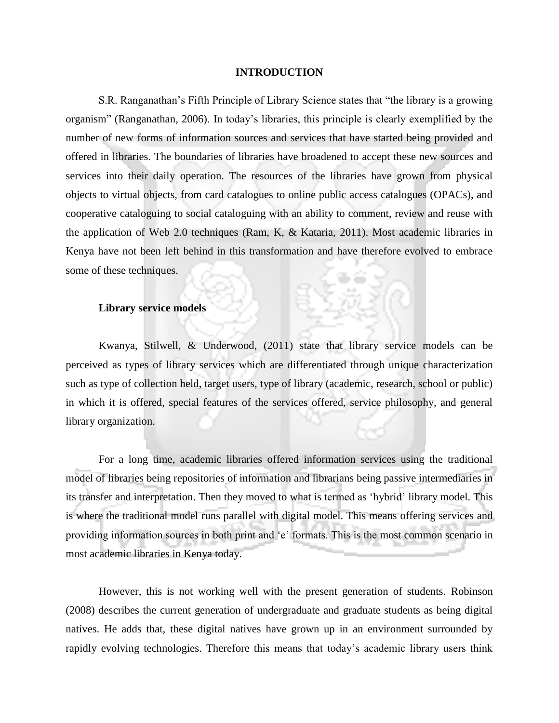#### **INTRODUCTION**

S.R. Ranganathan"s Fifth Principle of Library Science states that "the library is a growing organism" (Ranganathan, 2006). In today"s libraries, this principle is clearly exemplified by the number of new forms of information sources and services that have started being provided and offered in libraries. The boundaries of libraries have broadened to accept these new sources and services into their daily operation. The resources of the libraries have grown from physical objects to virtual objects, from card catalogues to online public access catalogues (OPACs), and cooperative cataloguing to social cataloguing with an ability to comment, review and reuse with the application of Web 2.0 techniques (Ram, K, & Kataria, 2011). Most academic libraries in Kenya have not been left behind in this transformation and have therefore evolved to embrace some of these techniques.

### **Library service models**

Kwanya, Stilwell, & Underwood, (2011) state that library service models can be perceived as types of library services which are differentiated through unique characterization such as type of collection held, target users, type of library (academic, research, school or public) in which it is offered, special features of the services offered, service philosophy, and general library organization.

For a long time, academic libraries offered information services using the traditional model of libraries being repositories of information and librarians being passive intermediaries in its transfer and interpretation. Then they moved to what is termed as "hybrid" library model. This is where the traditional model runs parallel with digital model. This means offering services and providing information sources in both print and "e" formats. This is the most common scenario in most academic libraries in Kenya today.

However, this is not working well with the present generation of students. Robinson (2008) describes the current generation of undergraduate and graduate students as being digital natives. He adds that, these digital natives have grown up in an environment surrounded by rapidly evolving technologies. Therefore this means that today"s academic library users think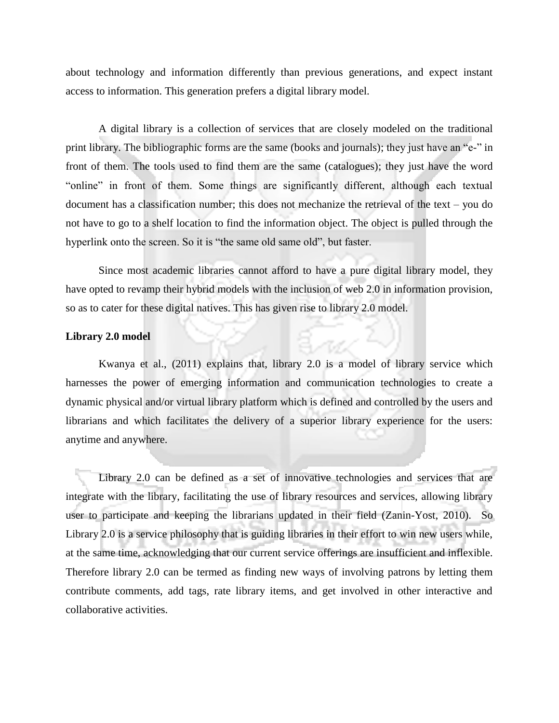about technology and information differently than previous generations, and expect instant access to information. This generation prefers a digital library model.

A digital library is a collection of services that are closely modeled on the traditional print library. The bibliographic forms are the same (books and journals); they just have an "e-" in front of them. The tools used to find them are the same (catalogues); they just have the word "online" in front of them. Some things are significantly different, although each textual document has a classification number; this does not mechanize the retrieval of the text – you do not have to go to a shelf location to find the information object. The object is pulled through the hyperlink onto the screen. So it is "the same old same old", but faster.

Since most academic libraries cannot afford to have a pure digital library model, they have opted to revamp their hybrid models with the inclusion of web 2.0 in information provision, so as to cater for these digital natives. This has given rise to library 2.0 model.

### **Library 2.0 model**

Kwanya et al., (2011) explains that, library 2.0 is a model of library service which harnesses the power of emerging information and communication technologies to create a dynamic physical and/or virtual library platform which is defined and controlled by the users and librarians and which facilitates the delivery of a superior library experience for the users: anytime and anywhere.

Library 2.0 can be defined as a set of innovative technologies and services that are integrate with the library, facilitating the use of library resources and services, allowing library user to participate and keeping the librarians updated in their field (Zanin-Yost, 2010). So Library 2.0 is a service philosophy that is guiding libraries in their effort to win new users while, at the same time, acknowledging that our current service offerings are insufficient and inflexible. Therefore library 2.0 can be termed as finding new ways of involving patrons by letting them contribute comments, add tags, rate library items, and get involved in other interactive and collaborative activities.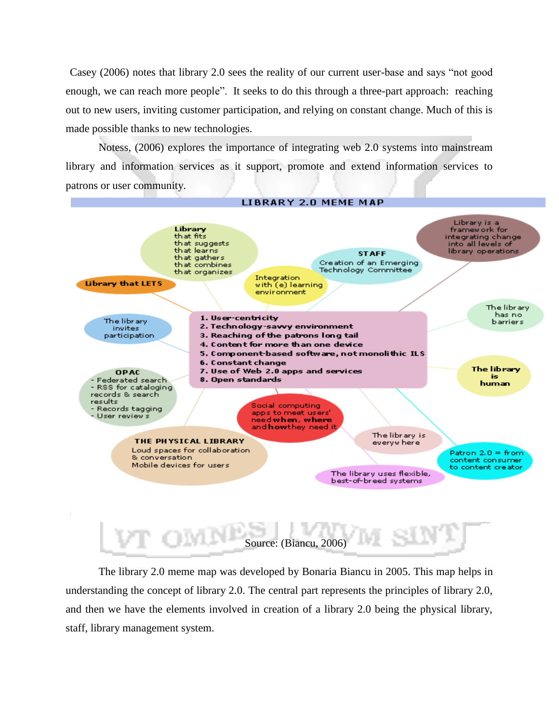Casey (2006) notes that library 2.0 sees the reality of our current user-base and says "not good enough, we can reach more people". It seeks to do this through a three-part approach: reaching out to new users, inviting customer participation, and relying on constant change. Much of this is made possible thanks to new technologies.

Notess, (2006) explores the importance of integrating web 2.0 systems into mainstream library and information services as it support, promote and extend information services to patrons or user community.





The library 2.0 meme map was developed by Bonaria Biancu in 2005. This map helps in understanding the concept of library 2.0. The central part represents the principles of library 2.0, and then we have the elements involved in creation of a library 2.0 being the physical library, staff, library management system.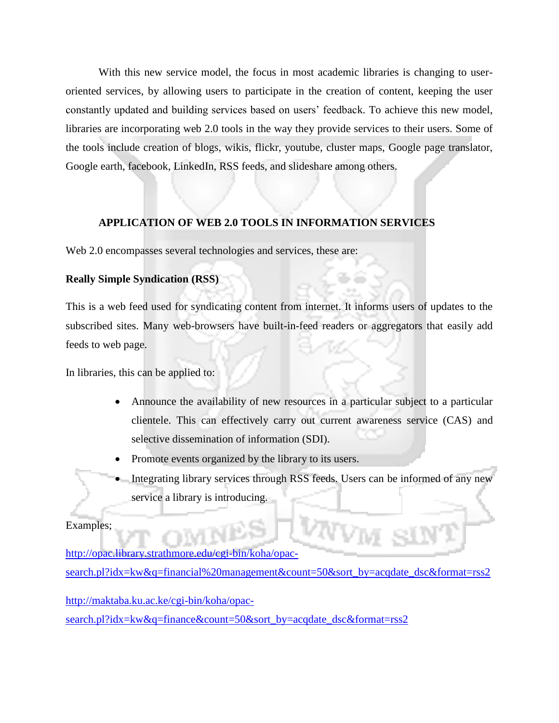With this new service model, the focus in most academic libraries is changing to useroriented services, by allowing users to participate in the creation of content, keeping the user constantly updated and building services based on users' feedback. To achieve this new model, libraries are incorporating web 2.0 tools in the way they provide services to their users. Some of the tools include creation of blogs, wikis, flickr, youtube, cluster maps, Google page translator, Google earth, facebook, LinkedIn, RSS feeds, and slideshare among others.

## **APPLICATION OF WEB 2.0 TOOLS IN INFORMATION SERVICES**

Web 2.0 encompasses several technologies and services, these are:

## **Really Simple Syndication (RSS)**

This is a web feed used for syndicating content from internet. It informs users of updates to the subscribed sites. Many web-browsers have built-in-feed readers or aggregators that easily add feeds to web page.

In libraries, this can be applied to:

- Announce the availability of new resources in a particular subject to a particular clientele. This can effectively carry out current awareness service (CAS) and selective dissemination of information (SDI).
- Promote events organized by the library to its users.
- Integrating library services through RSS feeds. Users can be informed of any new service a library is introducing.

### Examples;

[http://opac.library.strathmore.edu/cgi-bin/koha/opac](http://opac.library.strathmore.edu/cgi-bin/koha/opac-search.pl?idx=kw&q=financial%20management&count=50&sort_by=acqdate_dsc&format=rss2)[search.pl?idx=kw&q=financial%20management&count=50&sort\\_by=acqdate\\_dsc&format=rss2](http://opac.library.strathmore.edu/cgi-bin/koha/opac-search.pl?idx=kw&q=financial%20management&count=50&sort_by=acqdate_dsc&format=rss2)

[http://maktaba.ku.ac.ke/cgi-bin/koha/opac](http://maktaba.ku.ac.ke/cgi-bin/koha/opac-search.pl?idx=kw&q=finance&count=50&sort_by=acqdate_dsc&format=rss2)[search.pl?idx=kw&q=finance&count=50&sort\\_by=acqdate\\_dsc&format=rss2](http://maktaba.ku.ac.ke/cgi-bin/koha/opac-search.pl?idx=kw&q=finance&count=50&sort_by=acqdate_dsc&format=rss2)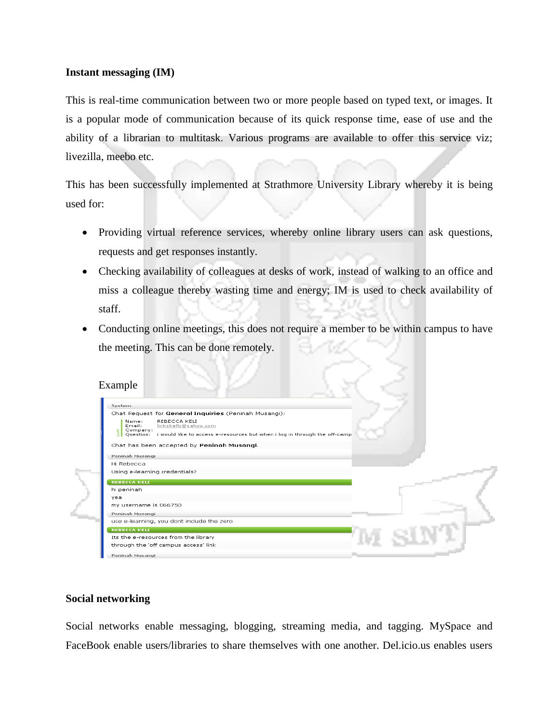## **Instant messaging (IM)**

This is real-time communication between two or more people based on typed text, or images. It is a popular mode of communication because of its quick response time, ease of use and the ability of a librarian to multitask. Various programs are available to offer this service viz; livezilla, meebo etc.

This has been successfully implemented at Strathmore University Library whereby it is being used for:

- Providing virtual reference services, whereby online library users can ask questions, requests and get responses instantly.
- Checking availability of colleagues at desks of work, instead of walking to an office and miss a colleague thereby wasting time and energy; IM is used to check availability of staff.
- Conducting online meetings, this does not require a member to be within campus to have the meeting. This can be done remotely.

## Example

| System                                                                                                                                                                                                |
|-------------------------------------------------------------------------------------------------------------------------------------------------------------------------------------------------------|
| Chat Request for General Inquiries (Peninah Musangi):                                                                                                                                                 |
| Name:<br>REBECCA KELI<br>Fmail:<br>linkskellv@vahoo.com<br>Company:<br>$\frac{E}{5}$ Company:<br>$\frac{E}{6}$ Question:<br>i would like to access e-resources but when i log in through the off-camp |
| Chat has been accepted by Peninah Musangi.                                                                                                                                                            |
| Peninah Musangi                                                                                                                                                                                       |
| Hi Rebecca                                                                                                                                                                                            |
| Using e-learning credentials?                                                                                                                                                                         |
| <b>REBECCA KELI</b>                                                                                                                                                                                   |
| hi peninah                                                                                                                                                                                            |
| vea                                                                                                                                                                                                   |
| my username is 066750                                                                                                                                                                                 |
| Peninah Musangi                                                                                                                                                                                       |
| use e-learning, you dont include the zero                                                                                                                                                             |
| <b>REBECCA KELI</b>                                                                                                                                                                                   |
| Its the e-resources from the library                                                                                                                                                                  |
| through the 'off campus access' link                                                                                                                                                                  |
| Peninah Musangi                                                                                                                                                                                       |

### **Social networking**

Social networks enable messaging, blogging, streaming media, and tagging. MySpace and FaceBook enable users/libraries to share themselves with one another. Del.icio.us enables users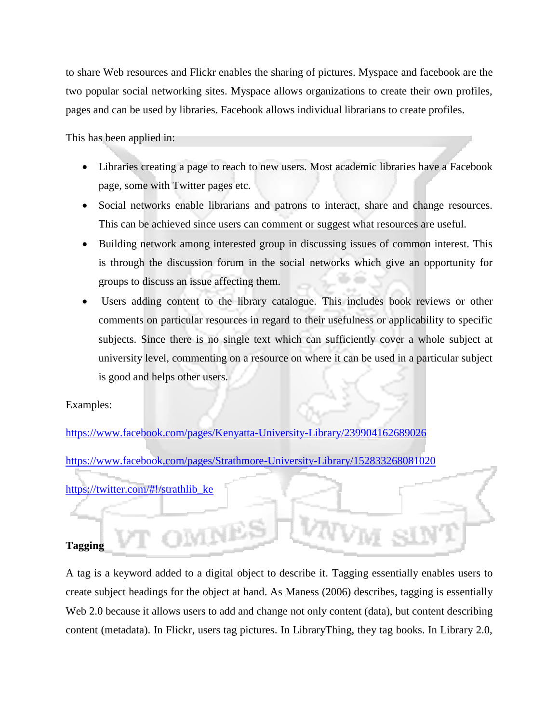to share Web resources and Flickr enables the sharing of pictures. Myspace and facebook are the two popular social networking sites. Myspace allows organizations to create their own profiles, pages and can be used by libraries. Facebook allows individual librarians to create profiles.

This has been applied in:

- Libraries creating a page to reach to new users. Most academic libraries have a Facebook page, some with Twitter pages etc.
- Social networks enable librarians and patrons to interact, share and change resources. This can be achieved since users can comment or suggest what resources are useful.
- Building network among interested group in discussing issues of common interest. This is through the discussion forum in the social networks which give an opportunity for groups to discuss an issue affecting them.
- Users adding content to the library catalogue. This includes book reviews or other comments on particular resources in regard to their usefulness or applicability to specific subjects. Since there is no single text which can sufficiently cover a whole subject at university level, commenting on a resource on where it can be used in a particular subject is good and helps other users.

Examples:

<https://www.facebook.com/pages/Kenyatta-University-Library/239904162689026> <https://www.facebook.com/pages/Strathmore-University-Library/152833268081020> [https://twitter.com/#!/strathlib\\_ke](https://twitter.com/#!/strathlib_ke)

## **Tagging**

A tag is a keyword added to a digital object to describe it. Tagging essentially enables users to create subject headings for the object at hand. As Maness (2006) describes, tagging is essentially Web 2.0 because it allows users to add and change not only content (data), but content describing content (metadata). In Flickr, users tag pictures. In LibraryThing, they tag books. In Library 2.0,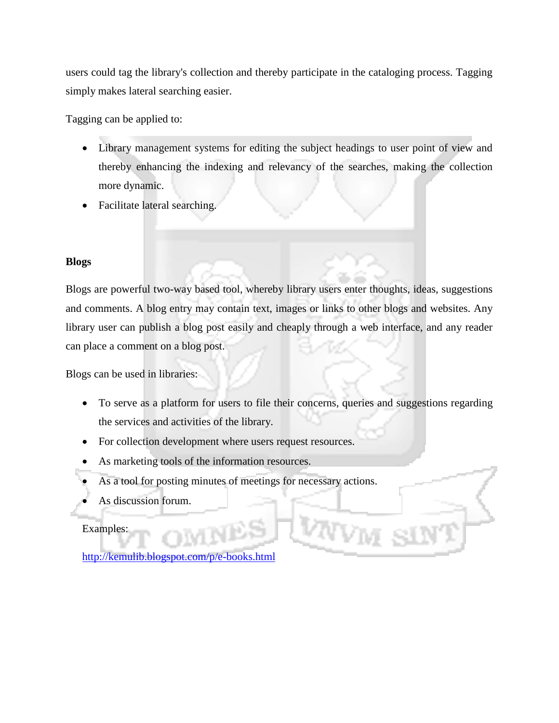users could tag the library's collection and thereby participate in the cataloging process. Tagging simply makes lateral searching easier.

Tagging can be applied to:

- Library management systems for editing the subject headings to user point of view and thereby enhancing the indexing and relevancy of the searches, making the collection more dynamic.
- Facilitate lateral searching.

## **Blogs**

Blogs are powerful two-way based tool, whereby library users enter thoughts, ideas, suggestions and comments. A blog entry may contain text, images or links to other blogs and websites. Any library user can publish a blog post easily and cheaply through a web interface, and any reader can place a comment on a blog post.

Blogs can be used in libraries:

- To serve as a platform for users to file their concerns, queries and suggestions regarding the services and activities of the library.
- For collection development where users request resources.
- As marketing tools of the information resources.
- As a tool for posting minutes of meetings for necessary actions.
- As discussion forum.

## Examples:

<http://kemulib.blogspot.com/p/e-books.html>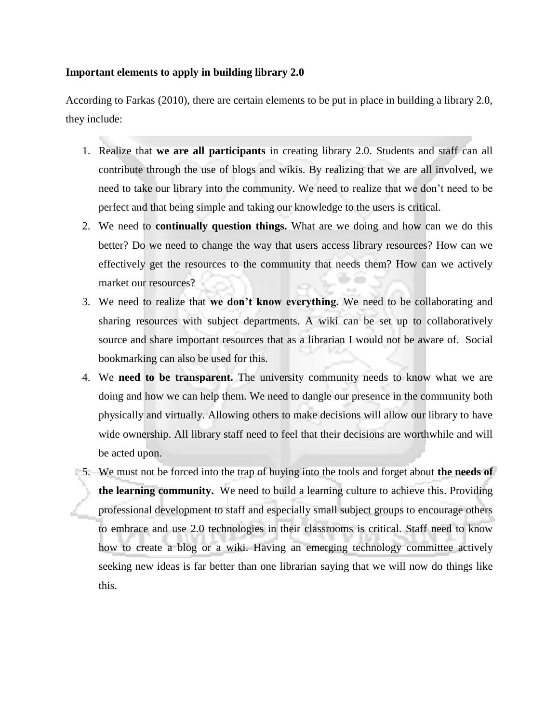## **Important elements to apply in building library 2.0**

According to Farkas (2010), there are certain elements to be put in place in building a library 2.0, they include:

- 1. Realize that **we are all participants** in creating library 2.0. Students and staff can all contribute through the use of blogs and wikis. By realizing that we are all involved, we need to take our library into the community. We need to realize that we don"t need to be perfect and that being simple and taking our knowledge to the users is critical.
- 2. We need to **continually question things.** What are we doing and how can we do this better? Do we need to change the way that users access library resources? How can we effectively get the resources to the community that needs them? How can we actively market our resources?
- 3. We need to realize that **we don't know everything.** We need to be collaborating and sharing resources with subject departments. A wiki can be set up to collaboratively source and share important resources that as a librarian I would not be aware of. Social bookmarking can also be used for this.
- 4. We **need to be transparent.** The university community needs to know what we are doing and how we can help them. We need to dangle our presence in the community both physically and virtually. Allowing others to make decisions will allow our library to have wide ownership. All library staff need to feel that their decisions are worthwhile and will be acted upon.
- 5. We must not be forced into the trap of buying into the tools and forget about **the needs of the learning community.** We need to build a learning culture to achieve this. Providing professional development to staff and especially small subject groups to encourage others to embrace and use 2.0 technologies in their classrooms is critical. Staff need to know how to create a blog or a wiki. Having an emerging technology committee actively seeking new ideas is far better than one librarian saying that we will now do things like this.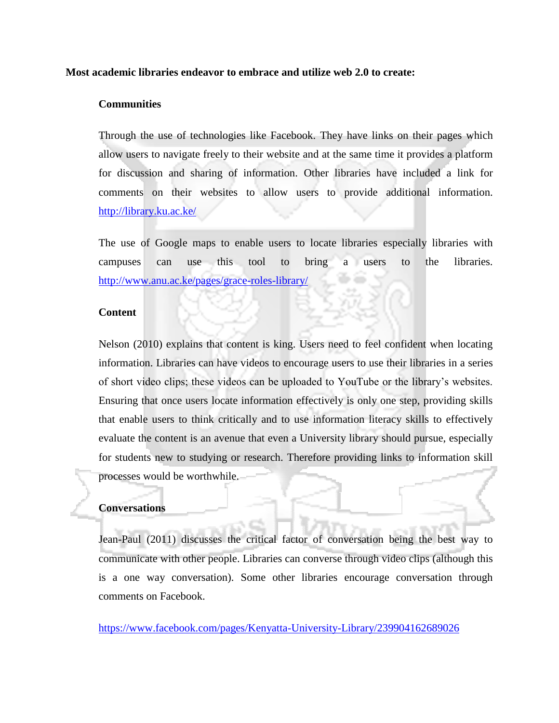### **Most academic libraries endeavor to embrace and utilize web 2.0 to create:**

## **Communities**

Through the use of technologies like Facebook. They have links on their pages which allow users to navigate freely to their website and at the same time it provides a platform for discussion and sharing of information. Other libraries have included a link for comments on their websites to allow users to provide additional information. <http://library.ku.ac.ke/>

The use of Google maps to enable users to locate libraries especially libraries with campuses can use this tool to bring a users to the libraries. <http://www.anu.ac.ke/pages/grace-roles-library/>

## **Content**

Nelson (2010) explains that content is king. Users need to feel confident when locating information. Libraries can have videos to encourage users to use their libraries in a series of short video clips; these videos can be uploaded to YouTube or the library"s websites. Ensuring that once users locate information effectively is only one step, providing skills that enable users to think critically and to use information literacy skills to effectively evaluate the content is an avenue that even a University library should pursue, especially for students new to studying or research. Therefore providing links to information skill processes would be worthwhile.

## **Conversations**

Jean-Paul (2011) discusses the critical factor of conversation being the best way to communicate with other people. Libraries can converse through video clips (although this is a one way conversation). Some other libraries encourage conversation through comments on Facebook.

<https://www.facebook.com/pages/Kenyatta-University-Library/239904162689026>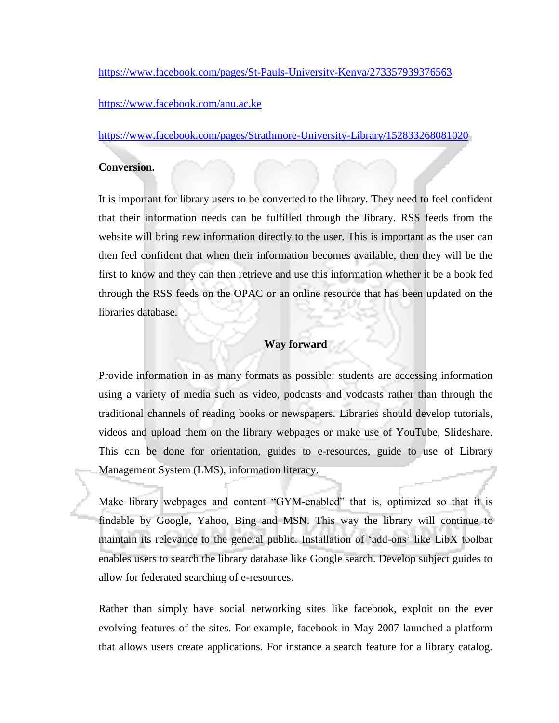<https://www.facebook.com/pages/St-Pauls-University-Kenya/273357939376563>

<https://www.facebook.com/anu.ac.ke>

<https://www.facebook.com/pages/Strathmore-University-Library/152833268081020>

### **Conversion.**

It is important for library users to be converted to the library. They need to feel confident that their information needs can be fulfilled through the library. RSS feeds from the website will bring new information directly to the user. This is important as the user can then feel confident that when their information becomes available, then they will be the first to know and they can then retrieve and use this information whether it be a book fed through the RSS feeds on the OPAC or an online resource that has been updated on the libraries database.

#### **Way forward**

Provide information in as many formats as possible: students are accessing information using a variety of media such as video, podcasts and vodcasts rather than through the traditional channels of reading books or newspapers. Libraries should develop tutorials, videos and upload them on the library webpages or make use of YouTube, Slideshare. This can be done for orientation, guides to e-resources, guide to use of Library Management System (LMS), information literacy.

Make library webpages and content "GYM-enabled" that is, optimized so that it is findable by Google, Yahoo, Bing and MSN. This way the library will continue to maintain its relevance to the general public. Installation of "add-ons" like LibX toolbar enables users to search the library database like Google search. Develop subject guides to allow for federated searching of e-resources.

Rather than simply have social networking sites like facebook, exploit on the ever evolving features of the sites. For example, facebook in May 2007 launched a platform that allows users create applications. For instance a search feature for a library catalog.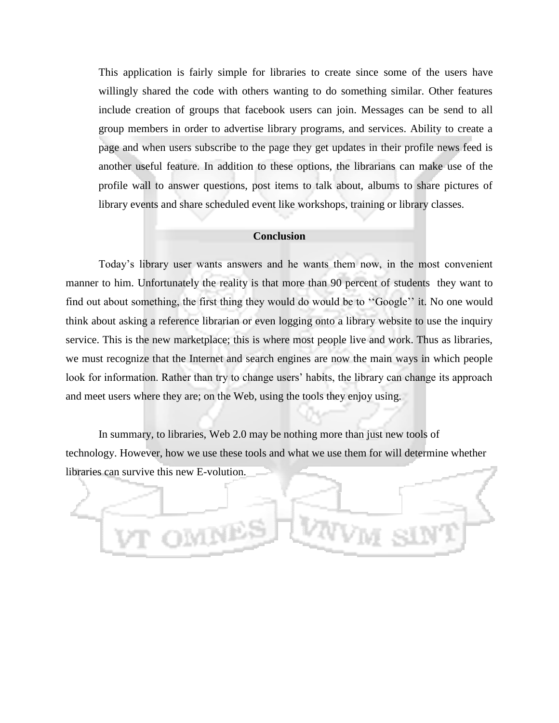This application is fairly simple for libraries to create since some of the users have willingly shared the code with others wanting to do something similar. Other features include creation of groups that facebook users can join. Messages can be send to all group members in order to advertise library programs, and services. Ability to create a page and when users subscribe to the page they get updates in their profile news feed is another useful feature. In addition to these options, the librarians can make use of the profile wall to answer questions, post items to talk about, albums to share pictures of library events and share scheduled event like workshops, training or library classes.

### **Conclusion**

Today"s library user wants answers and he wants them now, in the most convenient manner to him. Unfortunately the reality is that more than 90 percent of students they want to find out about something, the first thing they would do would be to "Google" it. No one would think about asking a reference librarian or even logging onto a library website to use the inquiry service. This is the new marketplace; this is where most people live and work. Thus as libraries, we must recognize that the Internet and search engines are now the main ways in which people look for information. Rather than try to change users' habits, the library can change its approach and meet users where they are; on the Web, using the tools they enjoy using.

In summary, to libraries, Web 2.0 may be nothing more than just new tools of technology. However, how we use these tools and what we use them for will determine whether libraries can survive this new E-volution.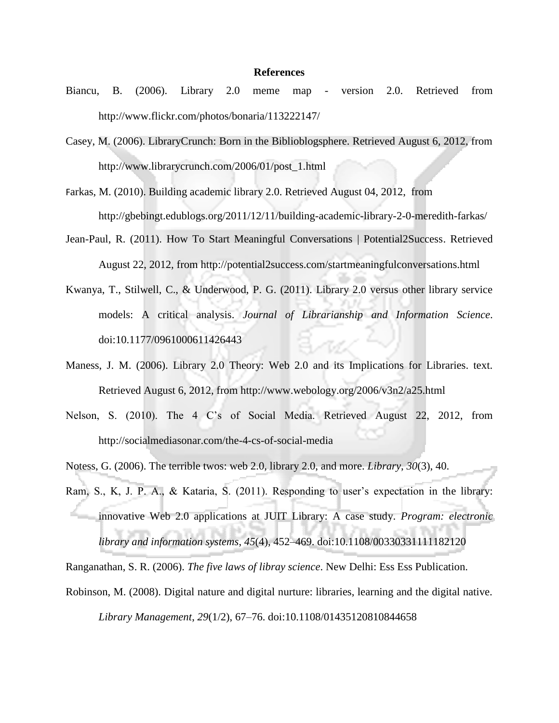#### **References**

- Biancu, B. (2006). Library 2.0 meme map version 2.0. Retrieved from http://www.flickr.com/photos/bonaria/113222147/
- Casey, M. (2006). LibraryCrunch: Born in the Biblioblogsphere. Retrieved August 6, 2012, from http://www.librarycrunch.com/2006/01/post\_1.html
- Farkas, M. (2010). Building academic library 2.0. Retrieved August 04, 2012, from http://gbebingt.edublogs.org/2011/12/11/building-academic-library-2-0-meredith-farkas/
- Jean-Paul, R. (2011). How To Start Meaningful Conversations | Potential2Success. Retrieved August 22, 2012, from http://potential2success.com/startmeaningfulconversations.html
- Kwanya, T., Stilwell, C., & Underwood, P. G. (2011). Library 2.0 versus other library service models: A critical analysis. *Journal of Librarianship and Information Science*. doi:10.1177/0961000611426443
- Maness, J. M. (2006). Library 2.0 Theory: Web 2.0 and its Implications for Libraries. text. Retrieved August 6, 2012, from http://www.webology.org/2006/v3n2/a25.html
- Nelson, S. (2010). The 4 C"s of Social Media. Retrieved August 22, 2012, from http://socialmediasonar.com/the-4-cs-of-social-media
- Notess, G. (2006). The terrible twos: web 2.0, library 2.0, and more. *Library*, *30*(3), 40.
- Ram, S., K, J. P. A., & Kataria, S. (2011). Responding to user's expectation in the library: innovative Web 2.0 applications at JUIT Library: A case study. *Program: electronic library and information systems*, *45*(4), 452–469. doi:10.1108/00330331111182120

Ranganathan, S. R. (2006). *The five laws of libray science*. New Delhi: Ess Ess Publication.

Robinson, M. (2008). Digital nature and digital nurture: libraries, learning and the digital native. *Library Management*, *29*(1/2), 67–76. doi:10.1108/01435120810844658